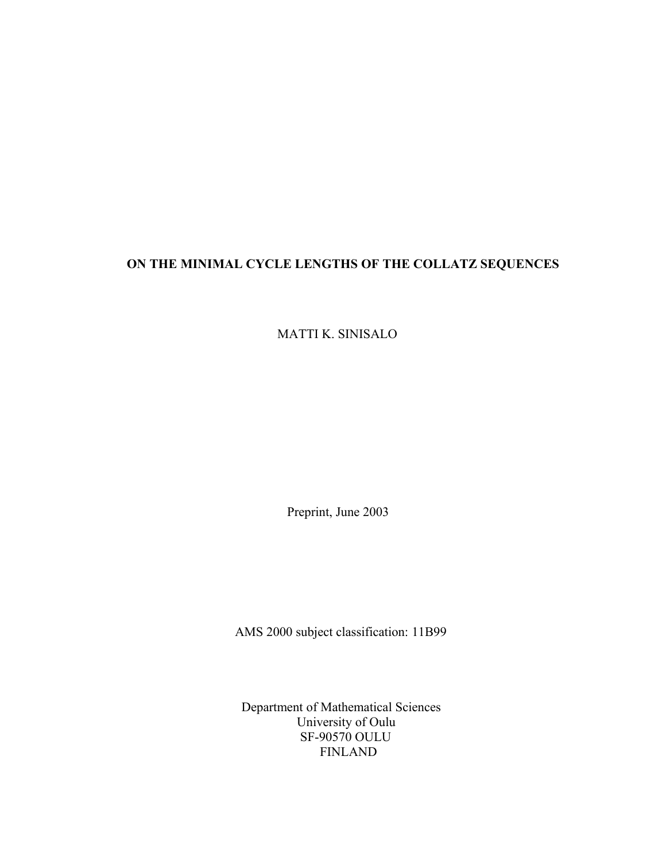# **ON THE MINIMAL CYCLE LENGTHS OF THE COLLATZ SEQUENCES**

MATTI K. SINISALO

Preprint, June 2003

AMS 2000 subject classification: 11B99

 Department of Mathematical Sciences University of Oulu SF-90570 OULU FINLAND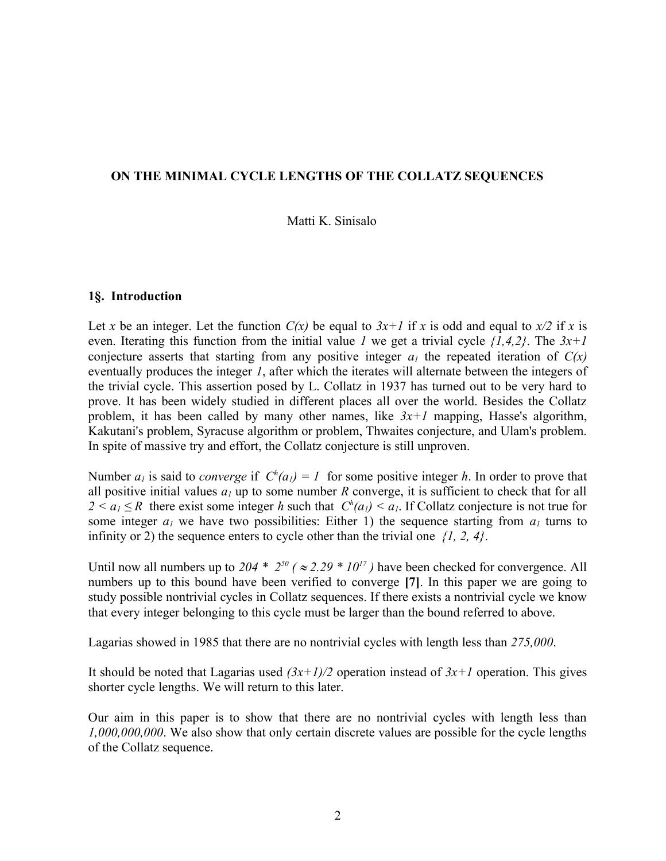## **ON THE MINIMAL CYCLE LENGTHS OF THE COLLATZ SEQUENCES**

## Matti K. Sinisalo

#### **1§. Introduction**

Let *x* be an integer. Let the function  $C(x)$  be equal to  $3x+1$  if *x* is odd and equal to  $x/2$  if *x* is even. Iterating this function from the initial value *1* we get a trivial cycle *{1,4,2}*. The *3x+1* conjecture asserts that starting from any positive integer  $a<sub>l</sub>$  the repeated iteration of  $C(x)$ eventually produces the integer *1*, after which the iterates will alternate between the integers of the trivial cycle. This assertion posed by L. Collatz in 1937 has turned out to be very hard to prove. It has been widely studied in different places all over the world. Besides the Collatz problem, it has been called by many other names, like *3x+1* mapping, Hasse's algorithm, Kakutani's problem, Syracuse algorithm or problem, Thwaites conjecture, and Ulam's problem. In spite of massive try and effort, the Collatz conjecture is still unproven.

Number  $a_1$  is said to *converge* if  $C^h(a_1) = 1$  for some positive integer *h*. In order to prove that all positive initial values  $a_l$  up to some number  $R$  converge, it is sufficient to check that for all  $2 < a_1 \le R$  there exist some integer *h* such that  $C^h(a_1) < a_1$ . If Collatz conjecture is not true for some integer  $a<sub>l</sub>$  we have two possibilities: Either 1) the sequence starting from  $a<sub>l</sub>$  turns to infinity or 2) the sequence enters to cycle other than the trivial one *{1, 2, 4}*.

Until now all numbers up to 204  $*$  2<sup>50</sup> ( $\approx$  2.29  $*$  10<sup>17</sup>) have been checked for convergence. All numbers up to this bound have been verified to converge **[7]**. In this paper we are going to study possible nontrivial cycles in Collatz sequences. If there exists a nontrivial cycle we know that every integer belonging to this cycle must be larger than the bound referred to above.

Lagarias showed in 1985 that there are no nontrivial cycles with length less than *275,000*.

It should be noted that Lagarias used  $(3x+1)/2$  operation instead of  $3x+1$  operation. This gives shorter cycle lengths. We will return to this later.

Our aim in this paper is to show that there are no nontrivial cycles with length less than *1,000,000,000*. We also show that only certain discrete values are possible for the cycle lengths of the Collatz sequence.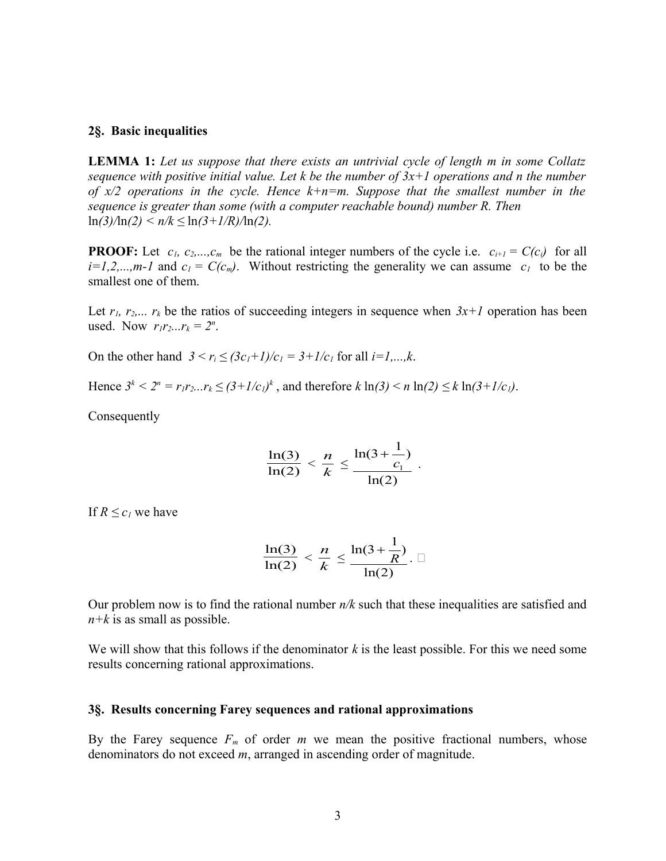## **2§. Basic inequalities**

**LEMMA 1:** *Let us suppose that there exists an untrivial cycle of length m in some Collatz sequence with positive initial value. Let k be the number of 3x+1 operations and n the number of x/2 operations in the cycle. Hence k+n=m. Suppose that the smallest number in the sequence is greater than some (with a computer reachable bound) number R. Then* ln*(3)/*ln*(2) < n/k ≤* ln*(3+1/R)/*ln*(2).* 

**PROOF:** Let  $c_1, c_2,...,c_m$  be the rational integer numbers of the cycle i.e.  $c_{i+1} = C(c_i)$  for all  $i=1,2,...,m-1$  and  $c_1 = C(c_m)$ . Without restricting the generality we can assume  $c_1$  to be the smallest one of them.

Let  $r_1, r_2,..., r_k$  be the ratios of succeeding integers in sequence when  $3x+1$  operation has been used. Now  $r_1 r_2... r_k = 2^n$ .

On the other hand  $3 < r_i \le (3c_1 + 1)/c_1 = 3 + 1/c_1$  for all  $i = 1,...,k$ .

Hence  $3^k < 2^n = r_1 r_2 ... r_k \le (3 + 1/c_1)^k$ , and therefore  $k \ln(3) < n \ln(2) \le k \ln(3 + 1/c_1)$ .

Consequently

$$
\frac{\ln(3)}{\ln(2)} < \frac{n}{k} \le \frac{\ln(3 + \frac{1}{c_1})}{\ln(2)} \, .
$$

If  $R \leq c_I$  we have

$$
\frac{\ln(3)}{\ln(2)} < \frac{n}{k} \le \frac{\ln(3 + \frac{1}{R})}{\ln(2)} \quad \Box
$$

Our problem now is to find the rational number *n/k* such that these inequalities are satisfied and *n+k* is as small as possible.

We will show that this follows if the denominator *k* is the least possible. For this we need some results concerning rational approximations.

#### **3§. Results concerning Farey sequences and rational approximations**

By the Farey sequence  $F_m$  of order  $m$  we mean the positive fractional numbers, whose denominators do not exceed *m*, arranged in ascending order of magnitude.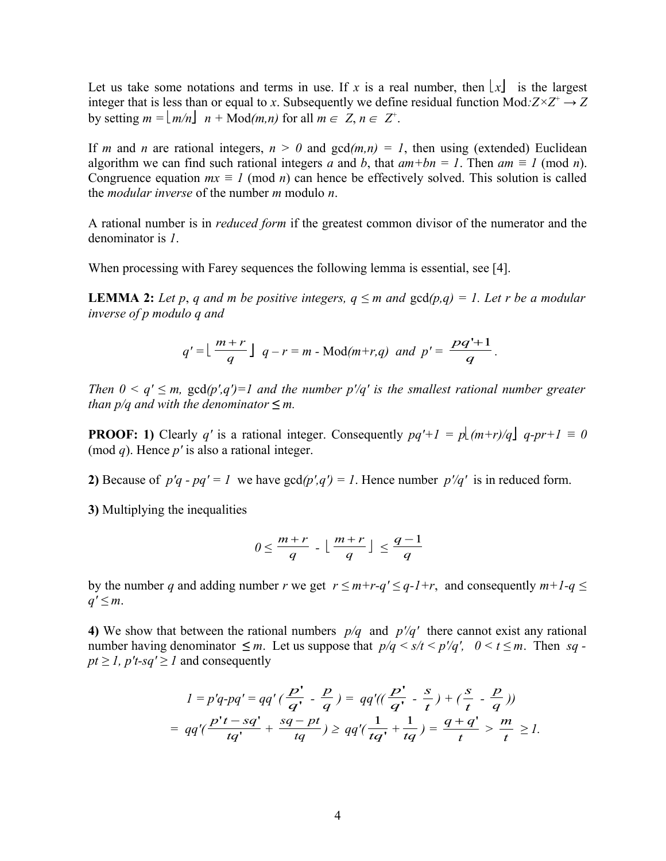Let us take some notations and terms in use. If x is a real number, then  $\lfloor x \rfloor$  is the largest integer that is less than or equal to *x*. Subsequently we define residual function Mod: $Z \times Z^+ \rightarrow Z$ by setting  $m = \lfloor m/n \rfloor$   $n + \text{Mod}(m, n)$  for all  $m \in \mathbb{Z}, n \in \mathbb{Z}^+$ .

If *m* and *n* are rational integers,  $n > 0$  and  $gcd(m,n) = 1$ , then using (extended) Euclidean algorithm we can find such rational integers *a* and *b*, that  $am + bn = 1$ . Then  $am \equiv 1 \pmod{n}$ . Congruence equation  $mx \equiv 1 \pmod{n}$  can hence be effectively solved. This solution is called the *modular inverse* of the number *m* modulo *n*.

A rational number is in *reduced form* if the greatest common divisor of the numerator and the denominator is *1*.

When processing with Farey sequences the following lemma is essential, see [4].

**LEMMA 2:** Let p, q and m be positive integers,  $q \leq m$  and  $gcd(p,q) = 1$ . Let r be a modular *inverse of p modulo q and* 

$$
q' = \lfloor \frac{m+r}{q} \rfloor q - r = m - \text{Mod}(m+r,q) \text{ and } p' = \frac{pq'+1}{q}.
$$

*Then*  $0 \le q' \le m$ ,  $gcd(p', q') = 1$  and the number  $p'/q'$  is the smallest rational number greater *than p/q and with the denominator*  $\leq m$ .

**PROOF:** 1) Clearly *q'* is a rational integer. Consequently  $pq' + 1 = p(pm+r)/q$  *q-pr+1* = 0 (mod *q*). Hence *p'* is also a rational integer.

**2)** Because of  $p'q - pq' = 1$  we have  $gcd(p', q') = 1$ . Hence number  $p'/q'$  is in reduced form.

**3)** Multiplying the inequalities

$$
0 \leq \frac{m+r}{q} - \lfloor \frac{m+r}{q} \rfloor \leq \frac{q-1}{q}
$$

by the number *q* and adding number *r* we get  $r \le m+r-q' \le q-l+r$ , and consequently  $m+l-q \le$ *q' ≤ m*.

**4)** We show that between the rational numbers *p/q* and *p'/q'* there cannot exist any rational number having denominator  $\leq m$ . Let us suppose that  $p/q < s/t < p'/q'$ ,  $0 < t \leq m$ . Then sq  $pt \ge l$ ,  $p't$ -sq'  $\ge l$  and consequently

$$
1 = p'q \cdot pq' = qq'(\frac{p'}{q'} - \frac{p}{q}) = qq'((\frac{p'}{q'} - \frac{s}{t}) + (\frac{s}{t} - \frac{p}{q}))
$$
  
=  $qq'(\frac{p't - sq'}{tq'} + \frac{sq - pt}{tq}) \ge qq'(\frac{1}{tq'} + \frac{1}{tq}) = \frac{q + q'}{t} > \frac{m}{t} \ge 1.$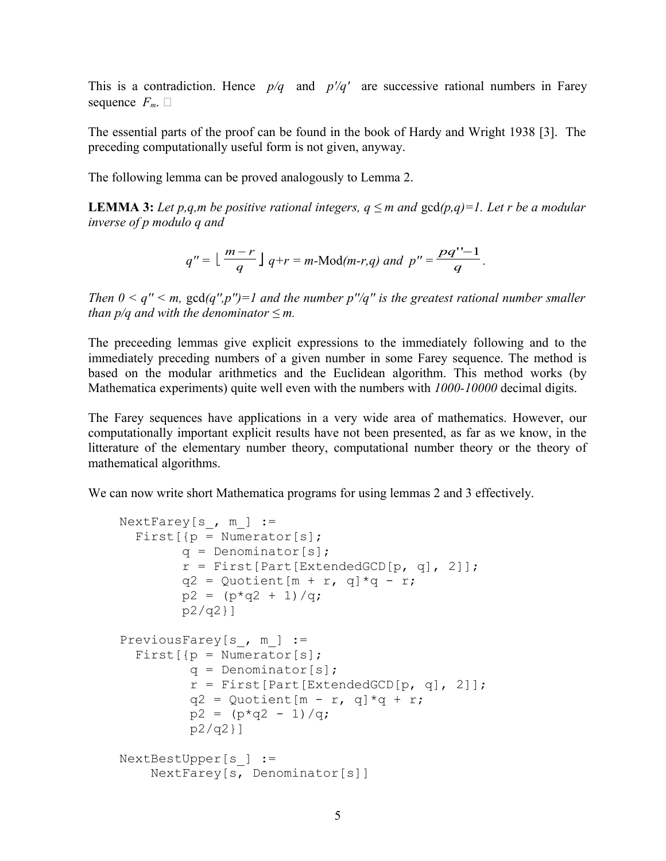This is a contradiction. Hence *p/q* and *p'/q'* are successive rational numbers in Farey sequence  $F_m$ .

The essential parts of the proof can be found in the book of Hardy and Wright 1938 [3]. The preceding computationally useful form is not given, anyway.

The following lemma can be proved analogously to Lemma 2.

**LEMMA 3:** Let p,q,m be positive rational integers,  $q \leq m$  and  $gcd(p,q)=1$ . Let r be a modular *inverse of p modulo q and*

$$
q'' = \lfloor \frac{m-r}{q} \rfloor q+r = m \text{-Mod}(m-r,q) \text{ and } p'' = \frac{pq''-1}{q}.
$$

*Then 0 < q'' < m,* gcd*(q'',p'')=1 and the number p''/q'' is the greatest rational number smaller than p/q and with the denominator*  $\leq m$ .

The preceeding lemmas give explicit expressions to the immediately following and to the immediately preceding numbers of a given number in some Farey sequence. The method is based on the modular arithmetics and the Euclidean algorithm. This method works (by Mathematica experiments) quite well even with the numbers with *1000-10000* decimal digits.

The Farey sequences have applications in a very wide area of mathematics. However, our computationally important explicit results have not been presented, as far as we know, in the litterature of the elementary number theory, computational number theory or the theory of mathematical algorithms.

We can now write short Mathematica programs for using lemmas 2 and 3 effectively.

```
NextFarey[s , m ] :=First[p = Numerator[s];
        q = Denominator[s];
        r = First [Part [ExtendedGCD [p, q], 2]];
        q2 = Quotient [m + r, q] * q - r;p2 = (p \star q2 + 1)/q; p2/q2}]
PreviousFarey[s, m ] :=
  First[f] = Numerator[s]; q = Denominator[s];
         r = First[Part[ExtendedGCD[p, q], 2]];
         q2 = Quotient [m - r, q] * q + r;
         p2 = (p \star q2 - 1)/q; p2/q2}]
 NextBestUpper[s_] :=
     NextFarey[s, Denominator[s]]
```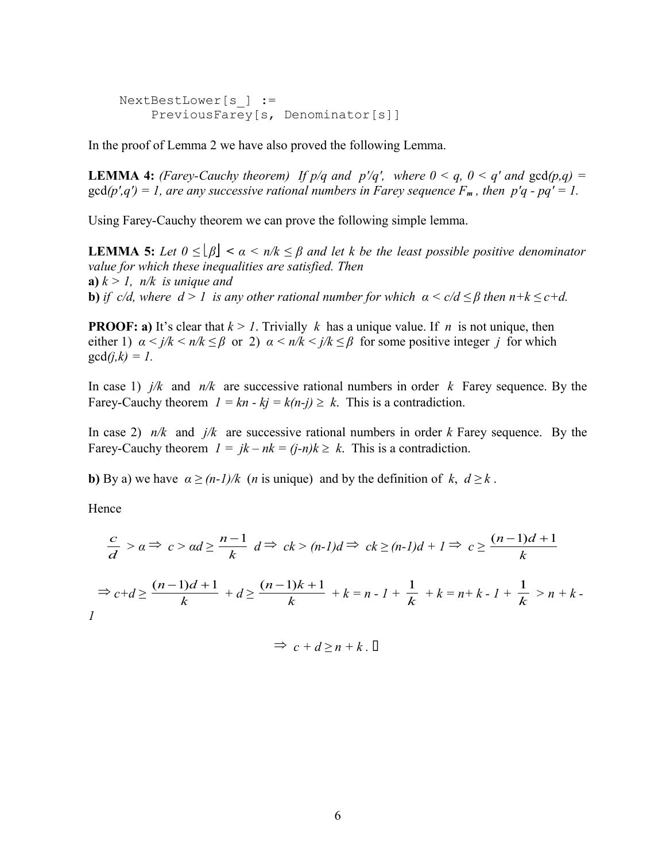NextBestLower[s\_] := PreviousFarey[s, Denominator[s]]

In the proof of Lemma 2 we have also proved the following Lemma.

**LEMMA 4:** *(Farey-Cauchy theorem)* If  $p/q$  and  $p'/q'$ , where  $0 < q$ ,  $0 < q'$  and  $gcd(p,q)$  =  $gcd(p', q') = 1$ , are any successive rational numbers in Farey sequence  $F_m$ , then  $p'q - pq' = 1$ .

Using Farey-Cauchy theorem we can prove the following simple lemma.

**LEMMA 5:** Let  $0 \leq \lfloor \beta \rfloor < \alpha < n/k \leq \beta$  and let k be the least possible positive denominator *value for which these inequalities are satisfied. Then* **a**)  $k > 1$ ,  $n/k$  is unique and **b)** *if c/d, where*  $d > 1$  *is any other rational number for which*  $\alpha < c/d \leq \beta$  *then*  $n+k \leq c+d$ .

**PROOF:** a) It's clear that  $k > 1$ . Trivially k has a unique value. If n is not unique, then either 1)  $\alpha < j/k < n/k \le \beta$  or 2)  $\alpha < n/k < j/k \le \beta$  for some positive integer *j* for which  $gcd(j,k) = 1$ .

In case 1) *j/k* and *n/k* are successive rational numbers in order *k* Farey sequence. By the Farey-Cauchy theorem  $I = kn - kj = k(n-j) \geq k$ . This is a contradiction.

In case 2) *n/k* and *j/k* are successive rational numbers in order *k* Farey sequence. By the Farey-Cauchy theorem  $I = jk - nk = (j-n)k \ge k$ . This is a contradiction.

**b)** By a) we have  $\alpha \ge (n-1)/k$  (*n* is unique) and by the definition of *k*,  $d \ge k$ .

Hence

$$
\frac{c}{d} > a \Rightarrow c > ad \ge \frac{n-1}{k} d \Rightarrow ck > (n-1)d \Rightarrow ck \ge (n-1)d + 1 \Rightarrow c \ge \frac{(n-1)d+1}{k}
$$

$$
\Rightarrow c+d \ge \frac{(n-1)d+1}{k} + d \ge \frac{(n-1)k+1}{k} + k = n - 1 + \frac{1}{k} + k = n + k - 1 + \frac{1}{k} > n + k - 1
$$

$$
\Rightarrow c + d \ge n + k . \Box
$$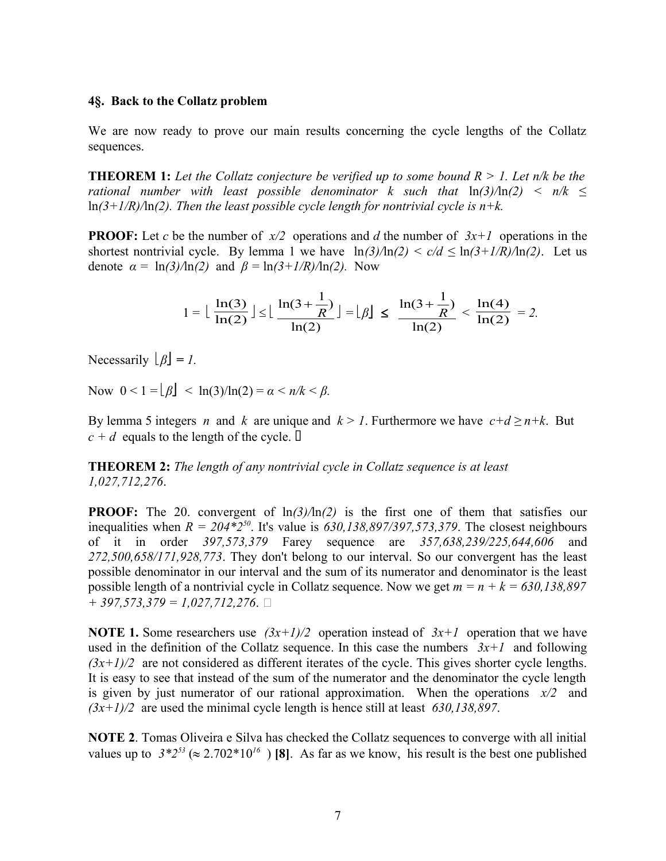## **4§. Back to the Collatz problem**

We are now ready to prove our main results concerning the cycle lengths of the Collatz sequences.

**THEOREM 1:** *Let the Collatz conjecture be verified up to some bound R > 1. Let n/k be the rational number with least possible denominator k such that*  $ln(3)/ln(2) < n/k \le$ ln*(3+1/R)/*ln*(2). Then the least possible cycle length for nontrivial cycle is n+k.*

**PROOF:** Let *c* be the number of  $x/2$  operations and *d* the number of  $3x+1$  operations in the shortest nontrivial cycle. By lemma 1 we have  $\ln(3)/\ln(2) < c/d \le \ln(3+1/R)/\ln(2)$ . Let us denote  $\alpha = \ln(3)/\ln(2)$  and  $\beta = \ln(3 + 1/R)/\ln(2)$ . Now

$$
1 = \lfloor \frac{\ln(3)}{\ln(2)} \rfloor \le \lfloor \frac{\ln(3 + \frac{1}{R})}{\ln(2)} \rfloor = \lfloor \beta \rfloor \le \frac{\ln(3 + \frac{1}{R})}{\ln(2)} < \frac{\ln(4)}{\ln(2)} = 2.
$$

 $N$ ecessarily  $\lfloor \beta \rfloor = 1$ .

Now  $0 < 1 = \lfloor \beta \rfloor < \ln(3)/\ln(2) = \alpha < n/k < \beta$ .

By lemma 5 integers *n* and *k* are unique and  $k > 1$ . Furthermore we have  $c+d \ge n+k$ . But  $c + d$  equals to the length of the cycle.  $\Box$ 

**THEOREM 2:** *The length of any nontrivial cycle in Collatz sequence is at least 1,027,712,276*.

**PROOF:** The 20. convergent of ln*(3)/*ln*(2)* is the first one of them that satisfies our inequalities when  $R = 204*2^{50}$ . It's value is  $630,138,897/397,573,379$ . The closest neighbours of it in order *397,573,379* Farey sequence are *357,638,239/225,644,606* and *272,500,658/171,928,773*. They don't belong to our interval. So our convergent has the least possible denominator in our interval and the sum of its numerator and denominator is the least possible length of a nontrivial cycle in Collatz sequence. Now we get *m = n + k = 630,138,897 + 397,573,379 = 1,027,712,276*.

**NOTE 1.** Some researchers use  $(3x+1)/2$  operation instead of  $3x+1$  operation that we have used in the definition of the Collatz sequence. In this case the numbers  $3x+1$  and following  $(3x+1)/2$  are not considered as different iterates of the cycle. This gives shorter cycle lengths. It is easy to see that instead of the sum of the numerator and the denominator the cycle length is given by just numerator of our rational approximation. When the operations *x/2* and *(3x+1)/2* are used the minimal cycle length is hence still at least *630,138,897*.

**NOTE 2**. Tomas Oliveira e Silva has checked the Collatz sequences to converge with all initial values up to  $3*2^{53} \approx 2.702*10^{16}$  ) [8]. As far as we know, his result is the best one published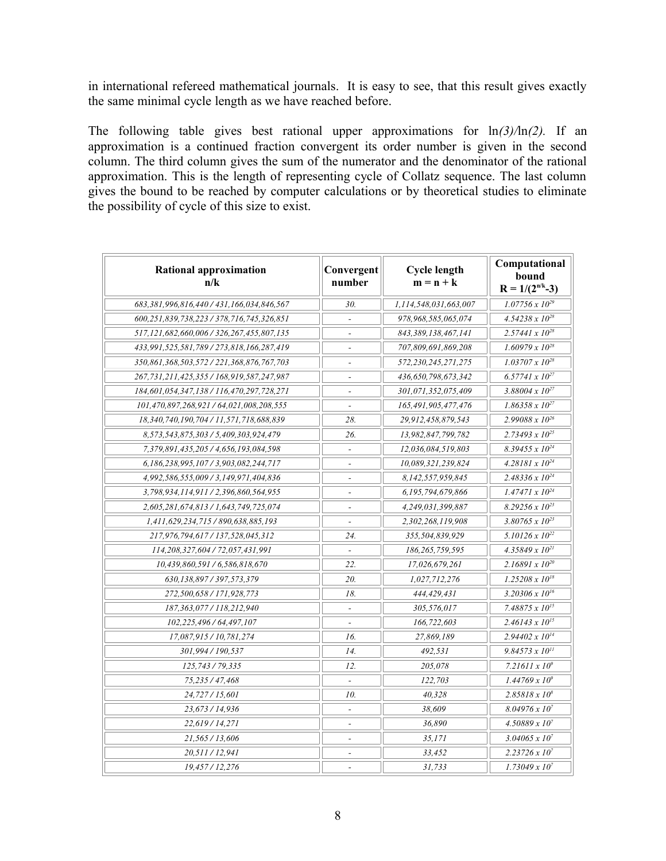in international refereed mathematical journals. It is easy to see, that this result gives exactly the same minimal cycle length as we have reached before.

The following table gives best rational upper approximations for ln*(3)/*ln*(2).* If an approximation is a continued fraction convergent its order number is given in the second column. The third column gives the sum of the numerator and the denominator of the rational approximation. This is the length of representing cycle of Collatz sequence. The last column gives the bound to be reached by computer calculations or by theoretical studies to eliminate the possibility of cycle of this size to exist.

| <b>Rational approximation</b><br>n/k              | Convergent<br>number     | <b>Cycle length</b><br>$m = n + k$ | Computational<br>bound<br>$R = 1/(2^{n/k} - 3)$ |
|---------------------------------------------------|--------------------------|------------------------------------|-------------------------------------------------|
| 683,381,996,816,440 / 431,166,034,846,567         | 30.                      | 1,114,548,031,663,007              | $1.07756 \times 10^{29}$                        |
| 600,251,839,738,223 / 378,716,745,326,851         | $\overline{a}$           | 978,968,585,065,074                | $4.54238 \times 10^{28}$                        |
| 517,121,682,660,006 / 326,267,455,807,135         | $\overline{a}$           | 843,389,138,467,141                | $2.57441 \times 10^{28}$                        |
| 433,991,525,581,789 / 273,818,166,287,419         | $\blacksquare$           | 707,809,691,869,208                | $1.60979 \times 10^{28}$                        |
| 350,861,368,503,572 / 221,368,876,767,703         | $\overline{\phantom{a}}$ | 572,230,245,271,275                | $1.03707 \times 10^{28}$                        |
| 267, 731, 211, 425, 355 / 168, 919, 587, 247, 987 | $\overline{\phantom{a}}$ | 436,650,798,673,342                | $6.57741 \times 10^{27}$                        |
| 184,601,054,347,138 / 116,470,297,728,271         | $\overline{a}$           | 301,071,352,075,409                | 3.88004 x $10^{27}$                             |
| 101,470,897,268,921 / 64,021,008,208,555          |                          | 165,491,905,477,476                | $1.86358 \times 10^{27}$                        |
| 18,340,740,190,704 / 11,571,718,688,839           | 28.                      | 29,912,458,879,543                 | $2.99088 \times 10^{26}$                        |
| 8,573,543,875,303 / 5,409,303,924,479             | 26.                      | 13,982,847,799,782                 | $2.73493 \times 10^{25}$                        |
| 7,379,891,435,205 / 4,656,193,084,598             | $\sim$                   | 12,036,084,519,803                 | $8.39455 \times 10^{24}$                        |
| 6,186,238,995,107 / 3,903,082,244,717             | $\overline{a}$           | 10,089,321,239,824                 | $4.28181 \times 10^{24}$                        |
| 4,992,586,555,009 / 3,149,971,404,836             | $\overline{\phantom{a}}$ | 8.142.557.959.845                  | $2.48336 \times 10^{24}$                        |
| 3,798,934,114,911 / 2,396,860,564,955             | $\overline{a}$           | 6,195,794,679,866                  | $1.47471 \times 10^{24}$                        |
| 2,605,281,674,813 / 1,643,749,725,074             | $\overline{a}$           | 4,249,031,399,887                  | $8.29256 \times 10^{23}$                        |
| 1,411,629,234,715 / 890,638,885,193               | $\overline{\phantom{a}}$ | 2,302,268,119,908                  | $3.80765 \times 10^{23}$                        |
| 217,976,794,617 / 137,528,045,312                 | 24.                      | 355,504,839,929                    | $5.10126 \times 10^{22}$                        |
| 114,208,327,604 / 72,057,431,991                  | $\omega$                 | 186,265,759,595                    | $4.35849 \times 10^{21}$                        |
| 10,439,860,591 / 6,586,818,670                    | 22.                      | 17,026,679,261                     | $2.16891 \times 10^{20}$                        |
| 630,138,897 / 397,573,379                         | 20.                      | 1,027,712,276                      | $1.25208 \times 10^{18}$                        |
| 272,500,658 / 171,928,773                         | 18.                      | 444,429,431                        | $3.20306 \times 10^{16}$                        |
| 187,363,077 / 118,212,940                         |                          | 305,576,017                        | 7.48875 $x 10^{15}$                             |
| 102, 225, 496 / 64, 497, 107                      |                          | 166,722,603                        | $2.46143 \times 10^{15}$                        |
| 17,087,915 / 10,781,274                           | 16.                      | 27,869,189                         | $2.94402 \times 10^{14}$                        |
| 301,994 / 190,537                                 | 14.                      | 492,531                            | $9.84573 \times 10^{11}$                        |
| 125,743 / 79,335                                  | 12.                      | 205,078                            | 7.21611 x $10^9$                                |
| 75,235 / 47,468                                   |                          | 122,703                            | $1.44769 \times 10^{9}$                         |
| 24,727 / 15,601                                   | 10.                      | 40,328                             | $2.85818 \times 10^8$                           |
| 23,673 / 14,936                                   | $\overline{\phantom{a}}$ | 38,609                             | $8.04976 \times 10^{7}$                         |
| 22,619/14,271                                     | $\overline{\phantom{a}}$ | 36,890                             | $4.50889 \times 10^{7}$                         |
| 21,565 / 13,606                                   | $\overline{\phantom{a}}$ | 35,171                             | $3.04065 \times 10^{7}$                         |
| 20,511/12,941                                     | $\overline{\phantom{a}}$ | 33,452                             | $2.23726 \times 10^{7}$                         |
| 19,457/12,276                                     |                          | 31,733                             | $1.73049 \times 10^{7}$                         |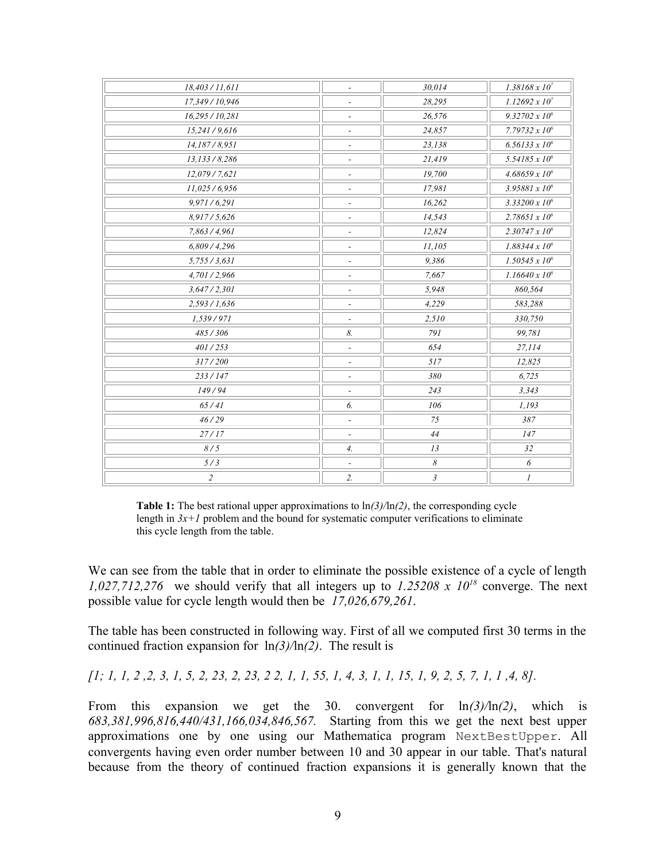| $\overline{\phantom{0}}$     | 30,014                | $1.38168 \times 10^{7}$   |
|------------------------------|-----------------------|---------------------------|
| $\overline{\phantom{a}}$     | 28,295                | $1.12692 \times 10^{7}$   |
| $\overline{\phantom{a}}$     | 26,576                | $9.32702 \times 10^6$     |
| $\overline{\phantom{0}}$     | 24,857                | 7.79732 $x 10^6$          |
| $\overline{\phantom{a}}$     | 23,138                | $6.56133 \times 10^{6}$   |
| $\qquad \qquad \blacksquare$ | 21,419                | 5.54185 x 10 <sup>6</sup> |
| ٠                            | 19,700                | $4.68659 \times 10^{6}$   |
| $\overline{\phantom{a}}$     | 17,981                | 3.95881 $x 10^6$          |
| $\overline{a}$               | 16,262                | 3.33200 $x 10^6$          |
| $\overline{\phantom{0}}$     | 14,543                | $2.78651 \times 10^{6}$   |
| $\overline{\phantom{a}}$     | 12,824                | $2.30747 \times 10^{6}$   |
| $\overline{\phantom{a}}$     | 11,105                | $1.88344 \times 10^6$     |
| ٠                            | 9,386                 | $1.50545 \times 10^{6}$   |
| $\overline{\phantom{a}}$     | 7,667                 | $1.16640 \times 10^6$     |
| $\overline{a}$               | 5,948                 | 860,564                   |
| $\overline{\phantom{0}}$     | 4.229                 | 583,288                   |
| $\overline{\phantom{a}}$     | 2,510                 | 330,750                   |
| 8.                           | 791                   | 99,781                    |
| $\overline{\phantom{a}}$     | 654                   | 27,114                    |
| $\frac{1}{2}$                | 517                   | 12,825                    |
| $\overline{\phantom{0}}$     | 380                   | 6,725                     |
| $\overline{\phantom{a}}$     | 243                   | 3.343                     |
| 6.                           | 106                   | 1,193                     |
| $\overline{\phantom{a}}$     | 75                    | 387                       |
| $\overline{\phantom{a}}$     | 44                    | 147                       |
| $\mathcal{A}$ .              | 13                    | 32                        |
|                              | $\boldsymbol{\delta}$ | 6                         |
| 2.                           | $\mathfrak{Z}$        | 1                         |
|                              |                       |                           |

**Table 1:** The best rational upper approximations to ln*(3)/*ln*(2)*, the corresponding cycle length in  $3x+1$  problem and the bound for systematic computer verifications to eliminate this cycle length from the table.

We can see from the table that in order to eliminate the possible existence of a cycle of length *1,027,712,276* we should verify that all integers up to *1.25208 x 10<sup>18</sup>* converge. The next possible value for cycle length would then be *17,026,679,261*.

The table has been constructed in following way. First of all we computed first 30 terms in the continued fraction expansion for ln*(3)/*ln*(2)*. The result is

*[1; 1, 1, 2 ,2, 3, 1, 5, 2, 23, 2, 23, 2 2, 1, 1, 55, 1, 4, 3, 1, 1, 15, 1, 9, 2, 5, 7, 1, 1 ,4, 8].*

From this expansion we get the 30. convergent for ln*(3)/*ln*(2)*, which is *683,381,996,816,440/431,166,034,846,567.* Starting from this we get the next best upper approximations one by one using our Mathematica program NextBestUpper. All convergents having even order number between 10 and 30 appear in our table. That's natural because from the theory of continued fraction expansions it is generally known that the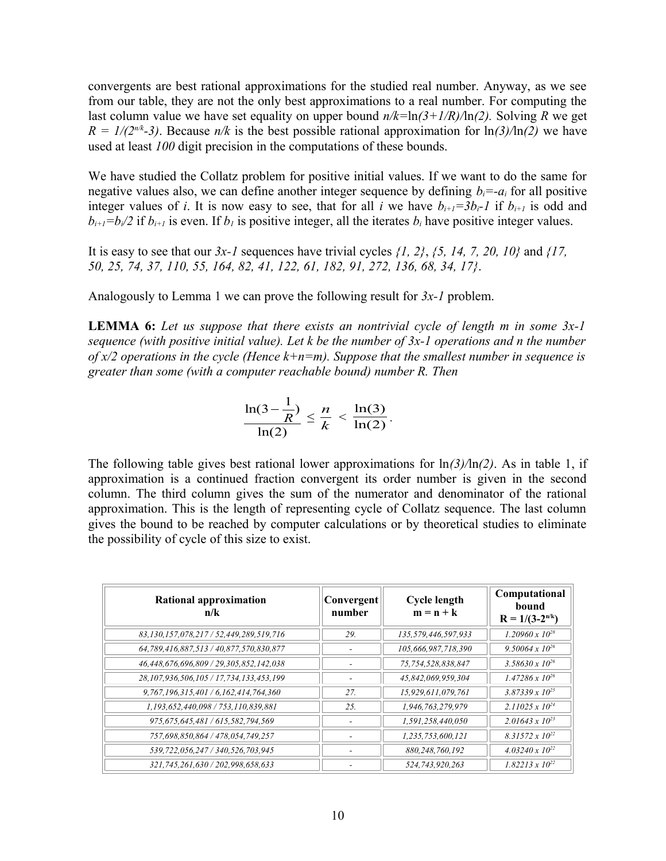convergents are best rational approximations for the studied real number. Anyway, as we see from our table, they are not the only best approximations to a real number. For computing the last column value we have set equality on upper bound *n/k=*ln*(3+1/R)/*ln*(2).* Solving *R* we get  $R = 1/(2^{n/k}-3)$ . Because  $n/k$  is the best possible rational approximation for  $\ln(3)/\ln(2)$  we have used at least *100* digit precision in the computations of these bounds.

We have studied the Collatz problem for positive initial values. If we want to do the same for negative values also, we can define another integer sequence by defining  $b_i = -a_i$  for all positive integer values of *i*. It is now easy to see, that for all *i* we have  $b_{i+1} = 3b_i - 1$  if  $b_{i+1}$  is odd and  $b_{i+1} = b_i/2$  if  $b_{i+1}$  is even. If  $b_i$  is positive integer, all the iterates  $b_i$  have positive integer values.

It is easy to see that our *3x-1* sequences have trivial cycles *{1, 2}*, *{5, 14, 7, 20, 10}* and *{17, 50, 25, 74, 37, 110, 55, 164, 82, 41, 122, 61, 182, 91, 272, 136, 68, 34, 17}*.

Analogously to Lemma 1 we can prove the following result for *3x-1* problem.

**LEMMA 6:** *Let us suppose that there exists an nontrivial cycle of length m in some 3x-1 sequence (with positive initial value). Let k be the number of 3x-1 operations and n the number of x/2 operations in the cycle (Hence k+n=m). Suppose that the smallest number in sequence is greater than some (with a computer reachable bound) number R. Then*

$$
\frac{\ln(3-\frac{1}{R})}{\ln(2)} \leq \frac{n}{k} < \frac{\ln(3)}{\ln(2)}.
$$

The following table gives best rational lower approximations for ln*(3)/*ln*(2)*. As in table 1, if approximation is a continued fraction convergent its order number is given in the second column. The third column gives the sum of the numerator and denominator of the rational approximation. This is the length of representing cycle of Collatz sequence. The last column gives the bound to be reached by computer calculations or by theoretical studies to eliminate the possibility of cycle of this size to exist.

| <b>Rational approximation</b><br>n/k    | Convergent<br>number | <b>Cycle length</b><br>$m = n + k$ | Computational<br>bound<br>$R = 1/(3-2^{n/k})$ |
|-----------------------------------------|----------------------|------------------------------------|-----------------------------------------------|
| 83,130,157,078,217 / 52,449,289,519,716 | 29.                  | 135,579,446,597,933                | $1.20960 \times 10^{28}$                      |
| 64,789,416,887,513 / 40,877,570,830,877 |                      | 105,666,987,718,390                | $9.50064 \times 10^{26}$                      |
| 46,448,676,696,809 / 29,305,852,142,038 |                      | 75,754,528,838,847                 | $3.58630 \times 10^{26}$                      |
| 28,107,936,506,105 / 17,734,133,453,199 |                      | 45,842,069,959,304                 | $1.47286 \times 10^{26}$                      |
| 9,767,196,315,401 / 6,162,414,764,360   | 27.                  | 15,929,611,079,761                 | $3.87339 \times 10^{25}$                      |
| 1,193,652,440,098 / 753,110,839,881     | 25.                  | 1,946,763,279,979                  | $2.11025 \times 10^{24}$                      |
| 975,675,645,481 / 615,582,794,569       |                      | 1,591,258,440,050                  | $2.01643 \times 10^{23}$                      |
| 757,698,850,864 / 478,054,749,257       |                      | 1,235,753,600,121                  | $8.31572 \times 10^{22}$                      |
| 539,722,056,247 / 340,526,703,945       |                      | 880,248,760,192                    | $4.03240 \times 10^{22}$                      |
| 321,745,261,630 / 202,998,658,633       |                      | 524,743,920,263                    | $1.82213 \times 10^{22}$                      |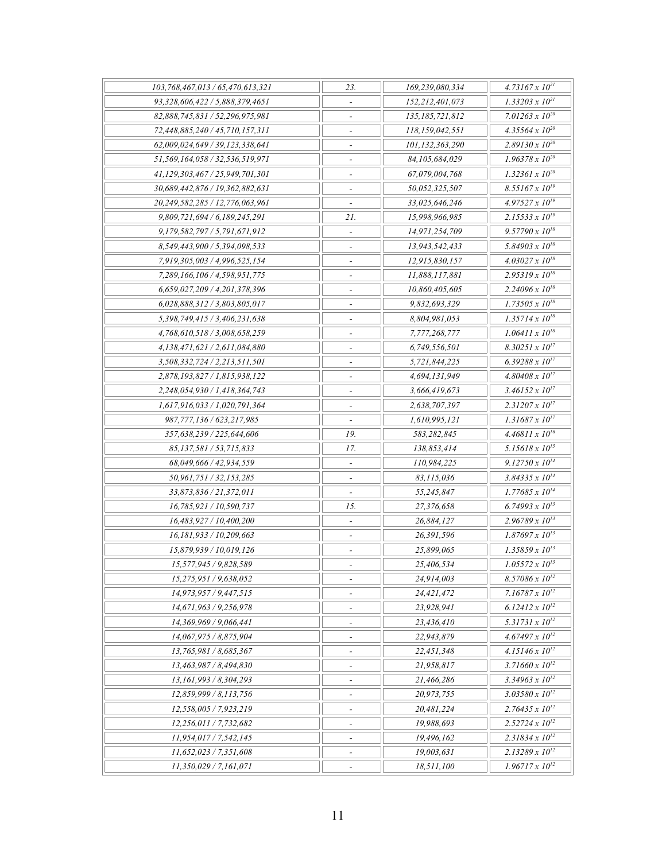| 103,768,467,013 / 65,470,613,321                     | 23.                             | 169,239,080,334            | $4.73167 \times 10^{21}$     |
|------------------------------------------------------|---------------------------------|----------------------------|------------------------------|
| 93,328,606,422 / 5,888,379,4651                      | $\overline{\phantom{a}}$        | 152,212,401,073            | $1.33203 \times 10^{21}$     |
| 82.888.745.831 / 52.296.975.981                      | $\overline{\phantom{a}}$        | 135, 185, 721, 812         | 7.01263 x $10^{20}$          |
| 72,448,885,240 / 45,710,157,311                      |                                 | 118,159,042,551            | $4.35564 \times 10^{20}$     |
| 62,009,024,649 / 39,123,338,641                      |                                 | 101,132,363,290            | $2.89130 \times 10^{20}$     |
| 51,569,164,058 / 32,536,519,971                      | $\overline{a}$                  | 84,105,684,029             | $1.96378 \times 10^{20}$     |
| 41,129,303,467 / 25,949,701,301                      | $\qquad \qquad \blacksquare$    | 67,079,004,768             | $1.32361 \times 10^{20}$     |
| 30,689,442,876 / 19,362,882,631                      | $\blacksquare$                  | 50,052,325,507             | $8.55167 \times 10^{19}$     |
| 20,249,582,285 / 12,776,063,961                      |                                 | 33.025.646.246             | $4.97527 \times 10^{19}$     |
| 9,809,721,694 / 6,189,245,291                        | 21.                             | 15,998,966,985             | $2.15533 \times 10^{19}$     |
| 9,179,582,797 / 5,791,671,912                        | $\overline{\phantom{a}}$        | 14,971,254,709             | $9.57790 \times 10^{18}$     |
| 8,549,443,900 / 5,394,098,533                        | $\blacksquare$                  | 13,943,542,433             | $5.84903 \times 10^{18}$     |
| 7,919,305,003 / 4,996,525,154                        |                                 | 12,915,830,157             | $4.03027 \times 10^{18}$     |
| 7,289,166,106 / 4,598,951,775                        |                                 | 11,888,117,881             | $2.95319 \times 10^{18}$     |
| 6,659,027,209 / 4,201,378,396                        | $\overline{a}$                  | 10,860,405,605             | $2.24096 \times 10^{18}$     |
| 6,028,888,312 / 3,803,805,017                        | $\qquad \qquad \blacksquare$    | 9,832,693,329              | $1.73505 \times 10^{18}$     |
| 5,398,749,415 / 3,406,231,638                        | $\overline{\phantom{a}}$        | 8,804,981,053              | $1.35714 \times 10^{18}$     |
| 4,768,610,518 / 3,008,658,259                        |                                 | 7,777,268,777              | $1.06411 \times 10^{18}$     |
| 4,138,471,621 / 2,611,084,880                        |                                 | 6,749,556,501              | $8.30251 \times 10^{17}$     |
| 3,508,332,724 / 2,213,511,501                        |                                 | 5,721,844,225              | 6.39288 x $10^{17}$          |
| 2,878,193,827 / 1,815,938,122                        | $\qquad \qquad \blacksquare$    | 4,694,131,949              | $4.80408 \times 10^{17}$     |
| 2,248,054,930 / 1,418,364,743                        | $\overline{a}$                  | 3,666,419,673              | $3.46152 \times 10^{17}$     |
| 1,617,916,033 / 1,020,791,364                        |                                 | 2,638,707,397              | $2.31207 \times 10^{17}$     |
|                                                      | $\overline{a}$                  |                            | $1.31687 \times 10^{17}$     |
| 987,777,136 / 623,217,985                            | 19.                             | 1,610,995,121              | $4.46811 \times 10^{16}$     |
| 357,638,239 / 225,644,606<br>85,137,581 / 53,715,833 | 17.                             | 583,282,845<br>138,853,414 | $5.15618 \times 10^{15}$     |
| 68,049,666 / 42,934,559                              |                                 | 110,984,225                | $9.12750 \times 10^{14}$     |
| 50,961,751 / 32,153,285                              |                                 | 83,115,036                 | $3.84335 \times 10^{14}$     |
|                                                      |                                 |                            | $1.77685 \times 10^{14}$     |
| 33,873,836 / 21,372,011                              |                                 | 55,245,847                 |                              |
| 16,785,921 / 10,590,737                              | 15.<br>$\overline{\phantom{a}}$ | 27,376,658                 | 6.74993 x $10^{13}$          |
| 16,483,927 / 10,400,200                              |                                 | 26,884,127                 | $2.96789 \times 10^{13}$     |
| 16,181,933 / 10,209,663                              |                                 | 26,391,596                 | $1.87697 \times 10^{13}$     |
| 15,879,939 / 10,019,126                              |                                 | 25,899,065                 | $1.35859 \times 10^{13}$     |
| 15,577,945 / 9,828,589                               |                                 | 25,406,534                 | $1.05572 \times 10^{13}$     |
| 15,275,951 / 9,638,052                               | $\overline{\phantom{a}}$        | 24,914,003                 | $8.57086 \times 10^{12}$     |
| 14,973,957 / 9,447,515                               |                                 | 24,421,472                 | 7.16787 $x$ 10 <sup>12</sup> |
| 14,671,963 / 9,256,978                               |                                 | 23,928,941                 | 6.12412 x $10^{12}$          |
| 14,369,969 / 9,066,441                               | $\overline{a}$                  | 23,436,410                 | $5.31731 \times 10^{12}$     |
| 14,067,975 / 8,875,904                               | $\overline{\phantom{a}}$        | 22,943,879                 | $4.67497 \times 10^{12}$     |
| 13.765.981 / 8.685.367                               | $\overline{\phantom{a}}$        | 22,451,348                 | $4.15146 \times 10^{12}$     |
| 13.463.987 / 8.494.830                               |                                 | 21,958,817                 | $3.71660 \times 10^{12}$     |
| 13,161,993 / 8,304,293                               |                                 | 21,466,286                 | $3.34963 \times 10^{12}$     |
| 12,859,999 / 8,113,756                               | $\overline{a}$                  | 20,973,755                 | $3.03580 \times 10^{12}$     |
| 12,558,005 / 7,923,219                               | $\overline{a}$                  | 20,481,224                 | $2.76435 \times 10^{12}$     |
| 12,256,011 / 7,732,682                               | $\overline{a}$                  | 19,988,693                 | $2.52724 \times 10^{12}$     |
| 11,954,017 / 7,542,145                               |                                 | 19,496,162                 | $2.31834 \times 10^{12}$     |
| 11,652,023 / 7,351,608                               | $\overline{a}$                  | 19,003,631                 | $2.13289 \times 10^{12}$     |
| 11,350,029 / 7,161,071                               |                                 | 18,511,100                 | $1.96717 \times 10^{12}$     |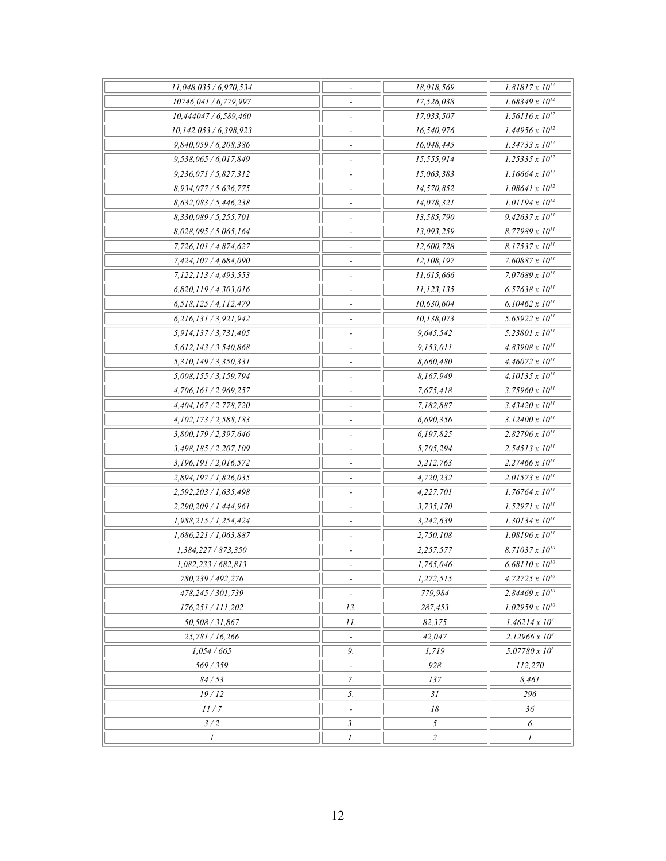| 11,048,035 / 6,970,534    | $\overline{\phantom{a}}$     | 18,018,569     | $1.81817 \times 10^{12}$ |
|---------------------------|------------------------------|----------------|--------------------------|
| 10746,041 / 6,779,997     | $\tilde{\phantom{a}}$        | 17,526,038     | $1.68349 \times 10^{12}$ |
| 10,444047/6,589,460       |                              | 17,033,507     | $1.56116 \times 10^{12}$ |
| 10,142,053 / 6,398,923    |                              | 16,540,976     | $1.44956 \times 10^{12}$ |
| 9,840,059 / 6,208,386     | $\overline{\phantom{a}}$     | 16,048,445     | $1.34733 \times 10^{12}$ |
| 9,538,065 / 6,017,849     | $\overline{\phantom{a}}$     | 15,555,914     | $1.25335 \times 10^{12}$ |
| 9,236,071/5,827,312       | $\overline{\phantom{a}}$     | 15,063,383     | $1.16664 \times 10^{12}$ |
| 8,934,077/5,636,775       |                              | 14,570,852     | $1.08641 \times 10^{12}$ |
| 8,632,083/5,446,238       |                              | 14,078,321     | $1.01194 \times 10^{12}$ |
| 8,330,089 / 5,255,701     | $\overline{a}$               | 13,585,790     | $9.42637 \times 10^{11}$ |
| 8,028,095/5,065,164       | $\overline{\phantom{a}}$     | 13,093,259     | $8.77989 \times 10^{11}$ |
| 7,726,101 / 4,874,627     | $\overline{\phantom{a}}$     | 12,600,728     | $8.17537 \times 10^{11}$ |
| 7,424,107 / 4,684,090     |                              | 12,108,197     | 7.60887 x $10^{11}$      |
| 7,122,113 / 4,493,553     | $\overline{\phantom{a}}$     | 11,615,666     | 7.07689 x $10^{11}$      |
| 6,820,119 / 4,303,016     | $\overline{\phantom{a}}$     | 11,123,135     | $6.57638 \times 10^{11}$ |
| 6,518,125/4,112,479       | $\overline{\phantom{a}}$     | 10,630,604     | $6.10462 \times 10^{11}$ |
| 6,216,131/3,921,942       |                              | 10,138,073     | 5.65922 x $10^{11}$      |
| 5,914,137 / 3,731,405     |                              | 9,645,542      | $5.23801 \times 10^{11}$ |
| 5,612,143 / 3,540,868     | $\overline{a}$               | 9,153,011      | $4.83908 \times 10^{11}$ |
| 5,310,149 / 3,350,331     | $\overline{\phantom{a}}$     | 8,660,480      | $4.46072 \times 10^{11}$ |
| 5,008,155 / 3,159,794     | $\overline{\phantom{a}}$     | 8,167,949      | $4.10135 \times 10^{11}$ |
| 4,706,161 / 2,969,257     |                              | 7,675,418      | 3.75960 x $10^{11}$      |
| 4,404,167/2,778,720       | $\overline{\phantom{a}}$     | 7,182,887      | $3.43420 \times 10^{11}$ |
| 4, 102, 173 / 2, 588, 183 | $\frac{1}{2}$                | 6,690,356      | $3.12400 \times 10^{11}$ |
| 3,800,179 / 2,397,646     | $\overline{\phantom{a}}$     | 6,197,825      | $2.82796 \times 10^{11}$ |
| 3,498,185 / 2,207,109     | $\overline{a}$               | 5,705,294      | $2.54513 \times 10^{11}$ |
| 3,196,191/2,016,572       |                              | 5,212,763      | $2.27466 \times 10^{11}$ |
| 2,894,197 / 1,826,035     | $\blacksquare$               | 4,720,232      | $2.01573 \times 10^{11}$ |
| 2,592,203 / 1,635,498     | $\qquad \qquad \blacksquare$ | 4,227,701      | $1.76764 \times 10^{11}$ |
| 2,290,209 / 1,444,961     | $\overline{\phantom{a}}$     | 3,735,170      | $1.52971 \times 10^{11}$ |
| 1,988,215 / 1,254,424     |                              | 3,242,639      | $1.30134 \times 10^{11}$ |
| 1,686,221 / 1,063,887     | $\overline{\phantom{a}}$     | 2,750,108      | $1.08196 \times 10^{11}$ |
| 1,384,227 / 873,350       | $\overline{\phantom{a}}$     | 2,257,577      | $8.71037 \times 10^{10}$ |
| 1,082,233 / 682,813       |                              | 1,765,046      | $6.68110 \times 10^{10}$ |
| 780,239 / 492,276         | $\overline{\phantom{a}}$     | 1,272,515      | 4.72725 x $10^{10}$      |
| 478,245 / 301,739         |                              | 779,984        | $2.84469 \times 10^{10}$ |
| 176,251 / 111,202         | 13.                          | 287,453        | $1.02959 \times 10^{10}$ |
| 50,508 / 31,867           | 11.                          | 82,375         | $1.46214 \times 10^{9}$  |
| 25,781 / 16,266           | $\bar{\phantom{a}}$          | 42,047         | $2.12966 \times 10^8$    |
| 1,054/665                 | 9.                           | 1,719          | $5.07780 \times 10^6$    |
| 569 / 359                 |                              | 928            | 112,270                  |
| 84/53                     | 7.                           | 137            | 8,461                    |
| 19/12                     | 5.                           | 31             | 296                      |
| 11/7                      | $\overline{\phantom{a}}$     | 18             | 36                       |
| 3/2                       | $\mathfrak{Z}.$              | 5              | 6                        |
| 1                         | 1.                           | $\overline{c}$ | 1                        |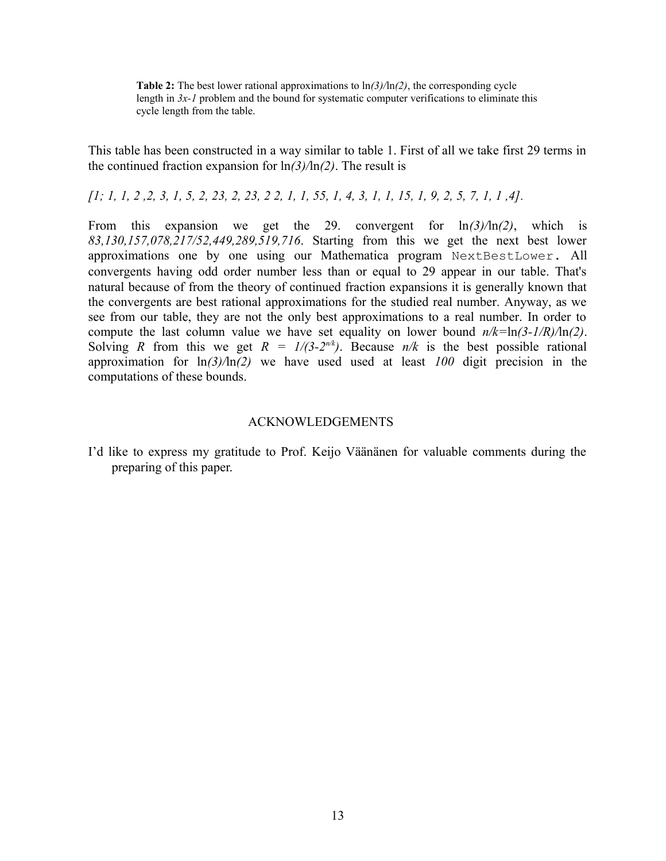**Table 2:** The best lower rational approximations to ln*(3)/*ln*(2)*, the corresponding cycle length in *3x-1* problem and the bound for systematic computer verifications to eliminate this cycle length from the table.

This table has been constructed in a way similar to table 1. First of all we take first 29 terms in the continued fraction expansion for ln*(3)/*ln*(2)*. The result is

*[1; 1, 1, 2 ,2, 3, 1, 5, 2, 23, 2, 23, 2 2, 1, 1, 55, 1, 4, 3, 1, 1, 15, 1, 9, 2, 5, 7, 1, 1 ,4].*

From this expansion we get the 29. convergent for ln*(3)/*ln*(2)*, which is *83,130,157,078,217/52,449,289,519,716*. Starting from this we get the next best lower approximations one by one using our Mathematica program NextBestLower. All convergents having odd order number less than or equal to 29 appear in our table. That's natural because of from the theory of continued fraction expansions it is generally known that the convergents are best rational approximations for the studied real number. Anyway, as we see from our table, they are not the only best approximations to a real number. In order to compute the last column value we have set equality on lower bound *n/k=*ln*(3-1/R)/*ln*(2)*. Solving *R* from this we get  $R = 1/(3-2^{n/k})$ . Because  $n/k$  is the best possible rational approximation for ln*(3)/*ln*(2)* we have used used at least *100* digit precision in the computations of these bounds.

## ACKNOWLEDGEMENTS

I'd like to express my gratitude to Prof. Keijo Väänänen for valuable comments during the preparing of this paper.